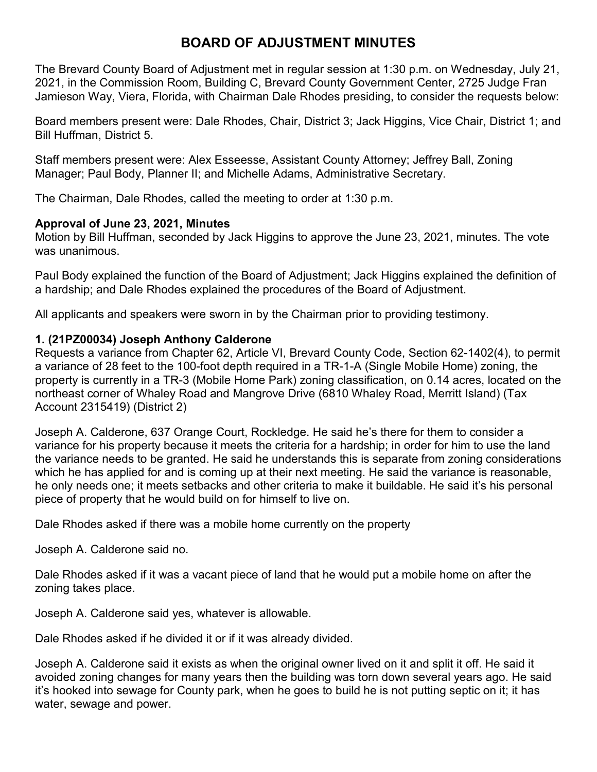# **BOARD OF ADJUSTMENT MINUTES**

The Brevard County Board of Adjustment met in regular session at 1:30 p.m. on Wednesday, July 21, 2021, in the Commission Room, Building C, Brevard County Government Center, 2725 Judge Fran Jamieson Way, Viera, Florida, with Chairman Dale Rhodes presiding, to consider the requests below:

Board members present were: Dale Rhodes, Chair, District 3; Jack Higgins, Vice Chair, District 1; and Bill Huffman, District 5.

Staff members present were: Alex Esseesse, Assistant County Attorney; Jeffrey Ball, Zoning Manager; Paul Body, Planner II; and Michelle Adams, Administrative Secretary.

The Chairman, Dale Rhodes, called the meeting to order at 1:30 p.m.

## **Approval of June 23, 2021, Minutes**

Motion by Bill Huffman, seconded by Jack Higgins to approve the June 23, 2021, minutes. The vote was unanimous.

Paul Body explained the function of the Board of Adjustment; Jack Higgins explained the definition of a hardship; and Dale Rhodes explained the procedures of the Board of Adjustment.

All applicants and speakers were sworn in by the Chairman prior to providing testimony.

## **1. (21PZ00034) Joseph Anthony Calderone**

Requests a variance from Chapter 62, Article VI, Brevard County Code, Section 62-1402(4), to permit a variance of 28 feet to the 100-foot depth required in a TR-1-A (Single Mobile Home) zoning, the property is currently in a TR-3 (Mobile Home Park) zoning classification, on 0.14 acres, located on the northeast corner of Whaley Road and Mangrove Drive (6810 Whaley Road, Merritt Island) (Tax Account 2315419) (District 2)

Joseph A. Calderone, 637 Orange Court, Rockledge. He said he's there for them to consider a variance for his property because it meets the criteria for a hardship; in order for him to use the land the variance needs to be granted. He said he understands this is separate from zoning considerations which he has applied for and is coming up at their next meeting. He said the variance is reasonable, he only needs one; it meets setbacks and other criteria to make it buildable. He said it's his personal piece of property that he would build on for himself to live on.

Dale Rhodes asked if there was a mobile home currently on the property

Joseph A. Calderone said no.

Dale Rhodes asked if it was a vacant piece of land that he would put a mobile home on after the zoning takes place.

Joseph A. Calderone said yes, whatever is allowable.

Dale Rhodes asked if he divided it or if it was already divided.

Joseph A. Calderone said it exists as when the original owner lived on it and split it off. He said it avoided zoning changes for many years then the building was torn down several years ago. He said it's hooked into sewage for County park, when he goes to build he is not putting septic on it; it has water, sewage and power.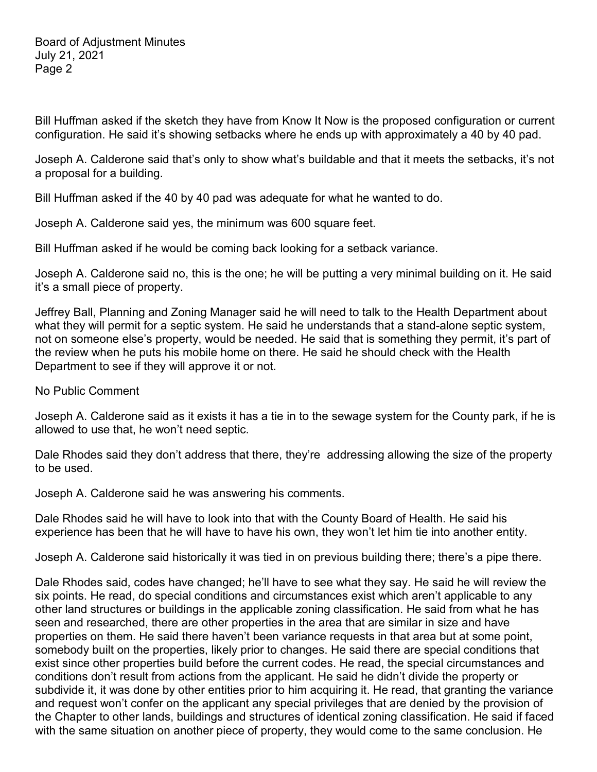Bill Huffman asked if the sketch they have from Know It Now is the proposed configuration or current configuration. He said it's showing setbacks where he ends up with approximately a 40 by 40 pad.

Joseph A. Calderone said that's only to show what's buildable and that it meets the setbacks, it's not a proposal for a building.

Bill Huffman asked if the 40 by 40 pad was adequate for what he wanted to do.

Joseph A. Calderone said yes, the minimum was 600 square feet.

Bill Huffman asked if he would be coming back looking for a setback variance.

Joseph A. Calderone said no, this is the one; he will be putting a very minimal building on it. He said it's a small piece of property.

Jeffrey Ball, Planning and Zoning Manager said he will need to talk to the Health Department about what they will permit for a septic system. He said he understands that a stand-alone septic system, not on someone else's property, would be needed. He said that is something they permit, it's part of the review when he puts his mobile home on there. He said he should check with the Health Department to see if they will approve it or not.

No Public Comment

Joseph A. Calderone said as it exists it has a tie in to the sewage system for the County park, if he is allowed to use that, he won't need septic.

Dale Rhodes said they don't address that there, they're addressing allowing the size of the property to be used.

Joseph A. Calderone said he was answering his comments.

Dale Rhodes said he will have to look into that with the County Board of Health. He said his experience has been that he will have to have his own, they won't let him tie into another entity.

Joseph A. Calderone said historically it was tied in on previous building there; there's a pipe there.

Dale Rhodes said, codes have changed; he'll have to see what they say. He said he will review the six points. He read, do special conditions and circumstances exist which aren't applicable to any other land structures or buildings in the applicable zoning classification. He said from what he has seen and researched, there are other properties in the area that are similar in size and have properties on them. He said there haven't been variance requests in that area but at some point, somebody built on the properties, likely prior to changes. He said there are special conditions that exist since other properties build before the current codes. He read, the special circumstances and conditions don't result from actions from the applicant. He said he didn't divide the property or subdivide it, it was done by other entities prior to him acquiring it. He read, that granting the variance and request won't confer on the applicant any special privileges that are denied by the provision of the Chapter to other lands, buildings and structures of identical zoning classification. He said if faced with the same situation on another piece of property, they would come to the same conclusion. He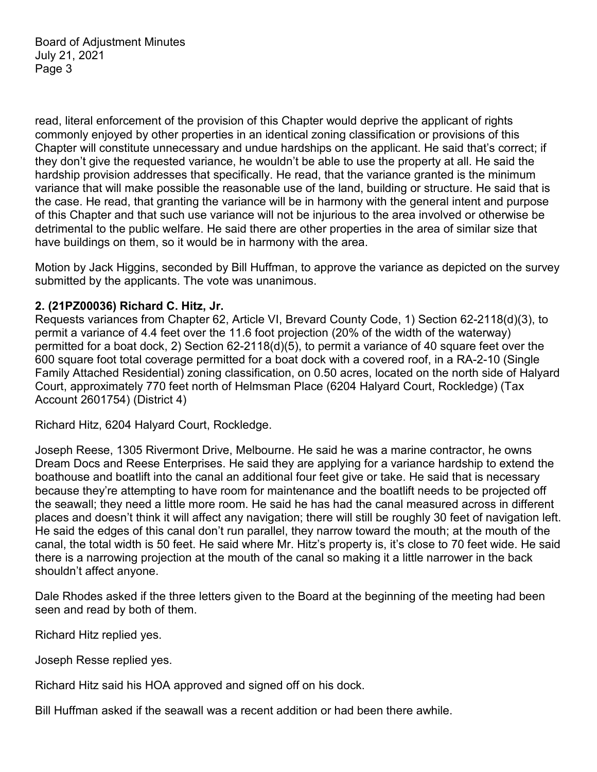read, literal enforcement of the provision of this Chapter would deprive the applicant of rights commonly enjoyed by other properties in an identical zoning classification or provisions of this Chapter will constitute unnecessary and undue hardships on the applicant. He said that's correct; if they don't give the requested variance, he wouldn't be able to use the property at all. He said the hardship provision addresses that specifically. He read, that the variance granted is the minimum variance that will make possible the reasonable use of the land, building or structure. He said that is the case. He read, that granting the variance will be in harmony with the general intent and purpose of this Chapter and that such use variance will not be injurious to the area involved or otherwise be detrimental to the public welfare. He said there are other properties in the area of similar size that have buildings on them, so it would be in harmony with the area.

Motion by Jack Higgins, seconded by Bill Huffman, to approve the variance as depicted on the survey submitted by the applicants. The vote was unanimous.

#### **2. (21PZ00036) Richard C. Hitz, Jr.**

Requests variances from Chapter 62, Article VI, Brevard County Code, 1) Section 62-2118(d)(3), to permit a variance of 4.4 feet over the 11.6 foot projection (20% of the width of the waterway) permitted for a boat dock, 2) Section 62-2118(d)(5), to permit a variance of 40 square feet over the 600 square foot total coverage permitted for a boat dock with a covered roof, in a RA-2-10 (Single Family Attached Residential) zoning classification, on 0.50 acres, located on the north side of Halyard Court, approximately 770 feet north of Helmsman Place (6204 Halyard Court, Rockledge) (Tax Account 2601754) (District 4)

Richard Hitz, 6204 Halyard Court, Rockledge.

Joseph Reese, 1305 Rivermont Drive, Melbourne. He said he was a marine contractor, he owns Dream Docs and Reese Enterprises. He said they are applying for a variance hardship to extend the boathouse and boatlift into the canal an additional four feet give or take. He said that is necessary because they're attempting to have room for maintenance and the boatlift needs to be projected off the seawall; they need a little more room. He said he has had the canal measured across in different places and doesn't think it will affect any navigation; there will still be roughly 30 feet of navigation left. He said the edges of this canal don't run parallel, they narrow toward the mouth; at the mouth of the canal, the total width is 50 feet. He said where Mr. Hitz's property is, it's close to 70 feet wide. He said there is a narrowing projection at the mouth of the canal so making it a little narrower in the back shouldn't affect anyone.

Dale Rhodes asked if the three letters given to the Board at the beginning of the meeting had been seen and read by both of them.

Richard Hitz replied yes.

Joseph Resse replied yes.

Richard Hitz said his HOA approved and signed off on his dock.

Bill Huffman asked if the seawall was a recent addition or had been there awhile.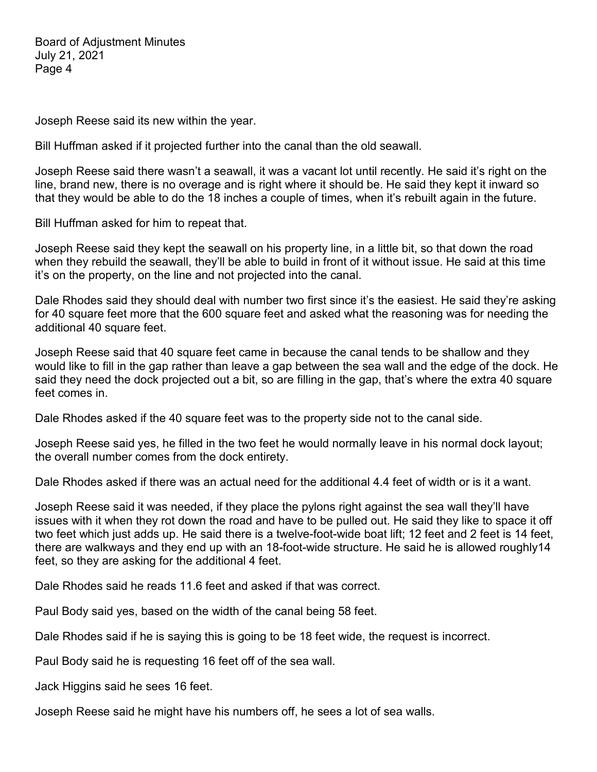Joseph Reese said its new within the year.

Bill Huffman asked if it projected further into the canal than the old seawall.

Joseph Reese said there wasn't a seawall, it was a vacant lot until recently. He said it's right on the line, brand new, there is no overage and is right where it should be. He said they kept it inward so that they would be able to do the 18 inches a couple of times, when it's rebuilt again in the future.

Bill Huffman asked for him to repeat that.

Joseph Reese said they kept the seawall on his property line, in a little bit, so that down the road when they rebuild the seawall, they'll be able to build in front of it without issue. He said at this time it's on the property, on the line and not projected into the canal.

Dale Rhodes said they should deal with number two first since it's the easiest. He said they're asking for 40 square feet more that the 600 square feet and asked what the reasoning was for needing the additional 40 square feet.

Joseph Reese said that 40 square feet came in because the canal tends to be shallow and they would like to fill in the gap rather than leave a gap between the sea wall and the edge of the dock. He said they need the dock projected out a bit, so are filling in the gap, that's where the extra 40 square feet comes in.

Dale Rhodes asked if the 40 square feet was to the property side not to the canal side.

Joseph Reese said yes, he filled in the two feet he would normally leave in his normal dock layout; the overall number comes from the dock entirety.

Dale Rhodes asked if there was an actual need for the additional 4.4 feet of width or is it a want.

Joseph Reese said it was needed, if they place the pylons right against the sea wall they'll have issues with it when they rot down the road and have to be pulled out. He said they like to space it off two feet which just adds up. He said there is a twelve-foot-wide boat lift; 12 feet and 2 feet is 14 feet, there are walkways and they end up with an 18-foot-wide structure. He said he is allowed roughly14 feet, so they are asking for the additional 4 feet.

Dale Rhodes said he reads 11.6 feet and asked if that was correct.

Paul Body said yes, based on the width of the canal being 58 feet.

Dale Rhodes said if he is saying this is going to be 18 feet wide, the request is incorrect.

Paul Body said he is requesting 16 feet off of the sea wall.

Jack Higgins said he sees 16 feet.

Joseph Reese said he might have his numbers off, he sees a lot of sea walls.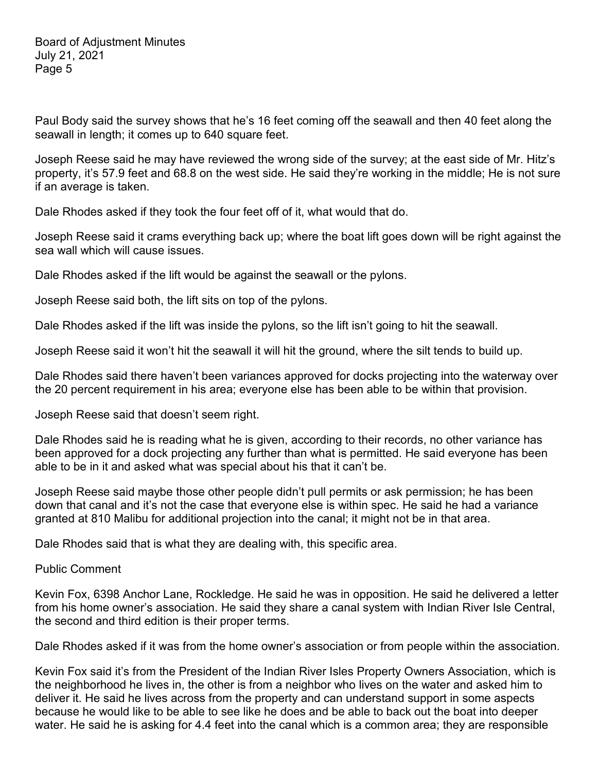Paul Body said the survey shows that he's 16 feet coming off the seawall and then 40 feet along the seawall in length; it comes up to 640 square feet.

Joseph Reese said he may have reviewed the wrong side of the survey; at the east side of Mr. Hitz's property, it's 57.9 feet and 68.8 on the west side. He said they're working in the middle; He is not sure if an average is taken.

Dale Rhodes asked if they took the four feet off of it, what would that do.

Joseph Reese said it crams everything back up; where the boat lift goes down will be right against the sea wall which will cause issues.

Dale Rhodes asked if the lift would be against the seawall or the pylons.

Joseph Reese said both, the lift sits on top of the pylons.

Dale Rhodes asked if the lift was inside the pylons, so the lift isn't going to hit the seawall.

Joseph Reese said it won't hit the seawall it will hit the ground, where the silt tends to build up.

Dale Rhodes said there haven't been variances approved for docks projecting into the waterway over the 20 percent requirement in his area; everyone else has been able to be within that provision.

Joseph Reese said that doesn't seem right.

Dale Rhodes said he is reading what he is given, according to their records, no other variance has been approved for a dock projecting any further than what is permitted. He said everyone has been able to be in it and asked what was special about his that it can't be.

Joseph Reese said maybe those other people didn't pull permits or ask permission; he has been down that canal and it's not the case that everyone else is within spec. He said he had a variance granted at 810 Malibu for additional projection into the canal; it might not be in that area.

Dale Rhodes said that is what they are dealing with, this specific area.

Public Comment

Kevin Fox, 6398 Anchor Lane, Rockledge. He said he was in opposition. He said he delivered a letter from his home owner's association. He said they share a canal system with Indian River Isle Central, the second and third edition is their proper terms.

Dale Rhodes asked if it was from the home owner's association or from people within the association.

Kevin Fox said it's from the President of the Indian River Isles Property Owners Association, which is the neighborhood he lives in, the other is from a neighbor who lives on the water and asked him to deliver it. He said he lives across from the property and can understand support in some aspects because he would like to be able to see like he does and be able to back out the boat into deeper water. He said he is asking for 4.4 feet into the canal which is a common area; they are responsible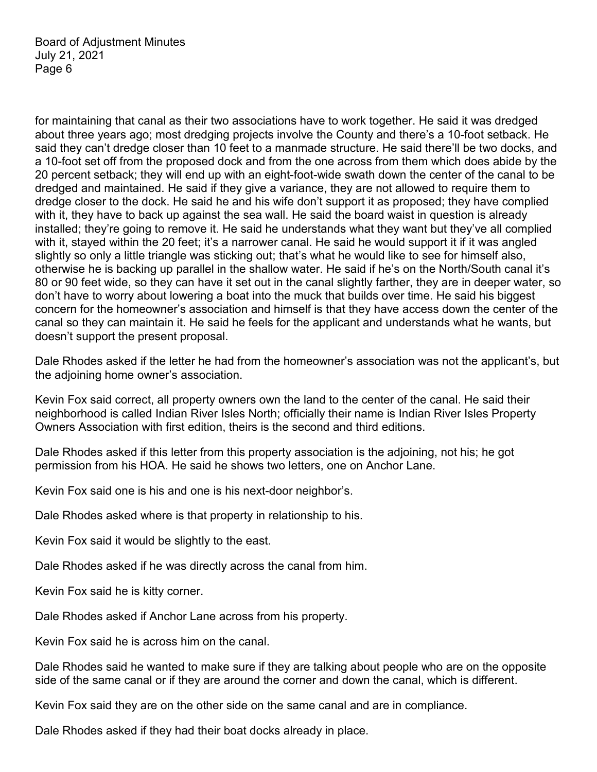for maintaining that canal as their two associations have to work together. He said it was dredged about three years ago; most dredging projects involve the County and there's a 10-foot setback. He said they can't dredge closer than 10 feet to a manmade structure. He said there'll be two docks, and a 10-foot set off from the proposed dock and from the one across from them which does abide by the 20 percent setback; they will end up with an eight-foot-wide swath down the center of the canal to be dredged and maintained. He said if they give a variance, they are not allowed to require them to dredge closer to the dock. He said he and his wife don't support it as proposed; they have complied with it, they have to back up against the sea wall. He said the board waist in question is already installed; they're going to remove it. He said he understands what they want but they've all complied with it, stayed within the 20 feet; it's a narrower canal. He said he would support it if it was angled slightly so only a little triangle was sticking out; that's what he would like to see for himself also, otherwise he is backing up parallel in the shallow water. He said if he's on the North/South canal it's 80 or 90 feet wide, so they can have it set out in the canal slightly farther, they are in deeper water, so don't have to worry about lowering a boat into the muck that builds over time. He said his biggest concern for the homeowner's association and himself is that they have access down the center of the canal so they can maintain it. He said he feels for the applicant and understands what he wants, but doesn't support the present proposal.

Dale Rhodes asked if the letter he had from the homeowner's association was not the applicant's, but the adjoining home owner's association.

Kevin Fox said correct, all property owners own the land to the center of the canal. He said their neighborhood is called Indian River Isles North; officially their name is Indian River Isles Property Owners Association with first edition, theirs is the second and third editions.

Dale Rhodes asked if this letter from this property association is the adjoining, not his; he got permission from his HOA. He said he shows two letters, one on Anchor Lane.

Kevin Fox said one is his and one is his next-door neighbor's.

Dale Rhodes asked where is that property in relationship to his.

Kevin Fox said it would be slightly to the east.

Dale Rhodes asked if he was directly across the canal from him.

Kevin Fox said he is kitty corner.

Dale Rhodes asked if Anchor Lane across from his property.

Kevin Fox said he is across him on the canal.

Dale Rhodes said he wanted to make sure if they are talking about people who are on the opposite side of the same canal or if they are around the corner and down the canal, which is different.

Kevin Fox said they are on the other side on the same canal and are in compliance.

Dale Rhodes asked if they had their boat docks already in place.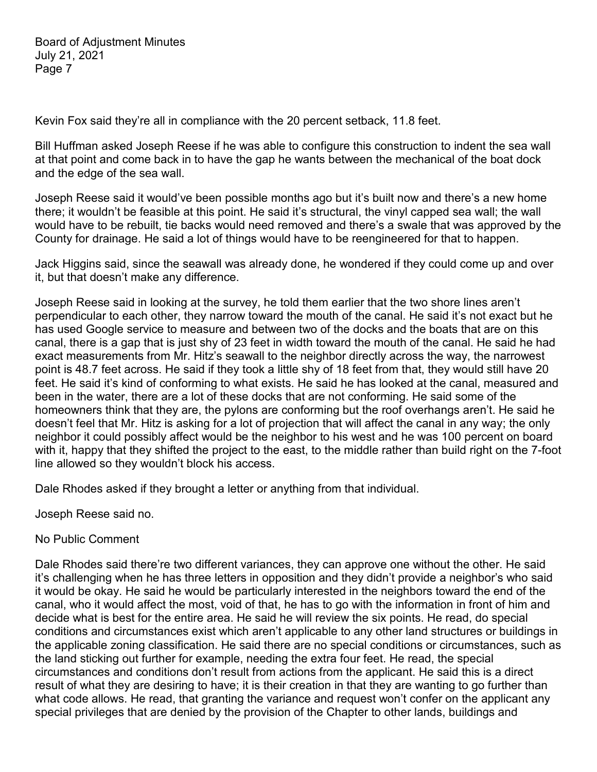Kevin Fox said they're all in compliance with the 20 percent setback, 11.8 feet.

Bill Huffman asked Joseph Reese if he was able to configure this construction to indent the sea wall at that point and come back in to have the gap he wants between the mechanical of the boat dock and the edge of the sea wall.

Joseph Reese said it would've been possible months ago but it's built now and there's a new home there; it wouldn't be feasible at this point. He said it's structural, the vinyl capped sea wall; the wall would have to be rebuilt, tie backs would need removed and there's a swale that was approved by the County for drainage. He said a lot of things would have to be reengineered for that to happen.

Jack Higgins said, since the seawall was already done, he wondered if they could come up and over it, but that doesn't make any difference.

Joseph Reese said in looking at the survey, he told them earlier that the two shore lines aren't perpendicular to each other, they narrow toward the mouth of the canal. He said it's not exact but he has used Google service to measure and between two of the docks and the boats that are on this canal, there is a gap that is just shy of 23 feet in width toward the mouth of the canal. He said he had exact measurements from Mr. Hitz's seawall to the neighbor directly across the way, the narrowest point is 48.7 feet across. He said if they took a little shy of 18 feet from that, they would still have 20 feet. He said it's kind of conforming to what exists. He said he has looked at the canal, measured and been in the water, there are a lot of these docks that are not conforming. He said some of the homeowners think that they are, the pylons are conforming but the roof overhangs aren't. He said he doesn't feel that Mr. Hitz is asking for a lot of projection that will affect the canal in any way; the only neighbor it could possibly affect would be the neighbor to his west and he was 100 percent on board with it, happy that they shifted the project to the east, to the middle rather than build right on the 7-foot line allowed so they wouldn't block his access.

Dale Rhodes asked if they brought a letter or anything from that individual.

Joseph Reese said no.

#### No Public Comment

Dale Rhodes said there're two different variances, they can approve one without the other. He said it's challenging when he has three letters in opposition and they didn't provide a neighbor's who said it would be okay. He said he would be particularly interested in the neighbors toward the end of the canal, who it would affect the most, void of that, he has to go with the information in front of him and decide what is best for the entire area. He said he will review the six points. He read, do special conditions and circumstances exist which aren't applicable to any other land structures or buildings in the applicable zoning classification. He said there are no special conditions or circumstances, such as the land sticking out further for example, needing the extra four feet. He read, the special circumstances and conditions don't result from actions from the applicant. He said this is a direct result of what they are desiring to have; it is their creation in that they are wanting to go further than what code allows. He read, that granting the variance and request won't confer on the applicant any special privileges that are denied by the provision of the Chapter to other lands, buildings and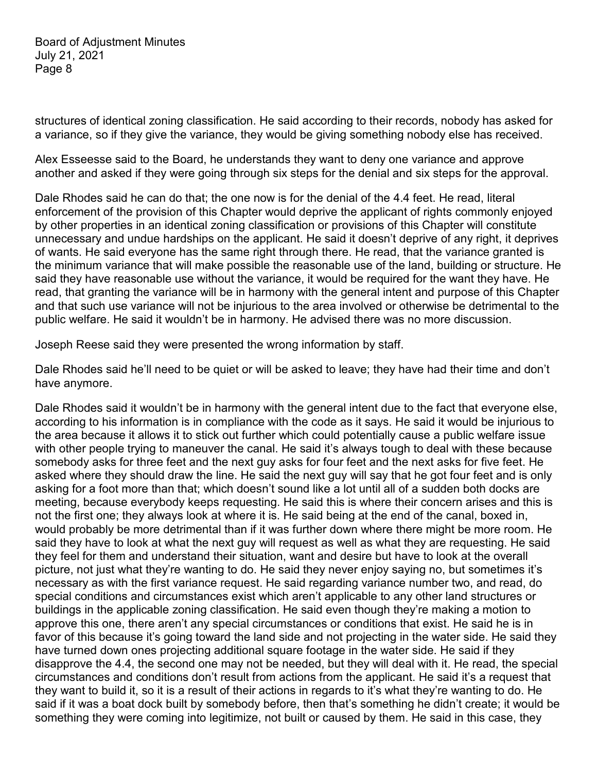structures of identical zoning classification. He said according to their records, nobody has asked for a variance, so if they give the variance, they would be giving something nobody else has received.

Alex Esseesse said to the Board, he understands they want to deny one variance and approve another and asked if they were going through six steps for the denial and six steps for the approval.

Dale Rhodes said he can do that; the one now is for the denial of the 4.4 feet. He read, literal enforcement of the provision of this Chapter would deprive the applicant of rights commonly enjoyed by other properties in an identical zoning classification or provisions of this Chapter will constitute unnecessary and undue hardships on the applicant. He said it doesn't deprive of any right, it deprives of wants. He said everyone has the same right through there. He read, that the variance granted is the minimum variance that will make possible the reasonable use of the land, building or structure. He said they have reasonable use without the variance, it would be required for the want they have. He read, that granting the variance will be in harmony with the general intent and purpose of this Chapter and that such use variance will not be injurious to the area involved or otherwise be detrimental to the public welfare. He said it wouldn't be in harmony. He advised there was no more discussion.

Joseph Reese said they were presented the wrong information by staff.

Dale Rhodes said he'll need to be quiet or will be asked to leave; they have had their time and don't have anymore.

Dale Rhodes said it wouldn't be in harmony with the general intent due to the fact that everyone else, according to his information is in compliance with the code as it says. He said it would be injurious to the area because it allows it to stick out further which could potentially cause a public welfare issue with other people trying to maneuver the canal. He said it's always tough to deal with these because somebody asks for three feet and the next guy asks for four feet and the next asks for five feet. He asked where they should draw the line. He said the next guy will say that he got four feet and is only asking for a foot more than that; which doesn't sound like a lot until all of a sudden both docks are meeting, because everybody keeps requesting. He said this is where their concern arises and this is not the first one; they always look at where it is. He said being at the end of the canal, boxed in, would probably be more detrimental than if it was further down where there might be more room. He said they have to look at what the next guy will request as well as what they are requesting. He said they feel for them and understand their situation, want and desire but have to look at the overall picture, not just what they're wanting to do. He said they never enjoy saying no, but sometimes it's necessary as with the first variance request. He said regarding variance number two, and read, do special conditions and circumstances exist which aren't applicable to any other land structures or buildings in the applicable zoning classification. He said even though they're making a motion to approve this one, there aren't any special circumstances or conditions that exist. He said he is in favor of this because it's going toward the land side and not projecting in the water side. He said they have turned down ones projecting additional square footage in the water side. He said if they disapprove the 4.4, the second one may not be needed, but they will deal with it. He read, the special circumstances and conditions don't result from actions from the applicant. He said it's a request that they want to build it, so it is a result of their actions in regards to it's what they're wanting to do. He said if it was a boat dock built by somebody before, then that's something he didn't create; it would be something they were coming into legitimize, not built or caused by them. He said in this case, they